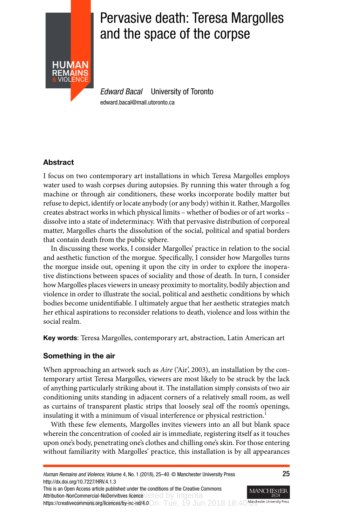

# Pervasive death: Teresa Margolles and the space of the corpse

Edward Bacal University of Toronto edward.bacal@mail.utoronto.ca

# Abstract

I focus on two contemporary art installations in which Teresa Margolles employs water used to wash corpses during autopsies. By running this water through a fog machine or through air conditioners, these works incorporate bodily matter but refuse to depict, identify or locate anybody (or any body) within it. Rather, Margolles creates abstract works in which physical limits – whether of bodies or of art works – dissolve into a state of indeterminacy. With that pervasive distribution of corporeal matter, Margolles charts the dissolution of the social, political and spatial borders that contain death from the public sphere.

In discussing these works, I consider Margolles' practice in relation to the social and aesthetic function of the morgue. Specifically, I consider how Margolles turns the morgue inside out, opening it upon the city in order to explore the inoperative distinctions between spaces of sociality and those of death. In turn, I consider how Margolles places viewers in uneasy proximity to mortality, bodily abjection and violence in order to illustrate the social, political and aesthetic conditions by which bodies become unidentifiable. I ultimately argue that her aesthetic strategies match her ethical aspirations to reconsider relations to death, violence and loss within the social realm.

Key words: Teresa Margolles, contemporary art, abstraction, Latin American art

# Something in the air

When approaching an artwork such as Aire ('Air', 2003), an installation by the contemporary artist Teresa Margolles, viewers are most likely to be struck by the lack of anything particularly striking about it. The installation simply consists of two air conditioning units standing in adjacent corners of a relatively small room, as well as curtains of transparent plastic strips that loosely seal off the room's openings, insulating it with a minimum of visual interference or physical restriction.<sup>1</sup>

With these few elements, Margolles invites viewers into an all but blank space wherein the concentration of cooled air is immediate, registering itself as it touches upon one's body, penetrating one's clothes and chilling one's skin. For those entering without familiarity with Margolles' practice, this installation is by all appearances

MANCHE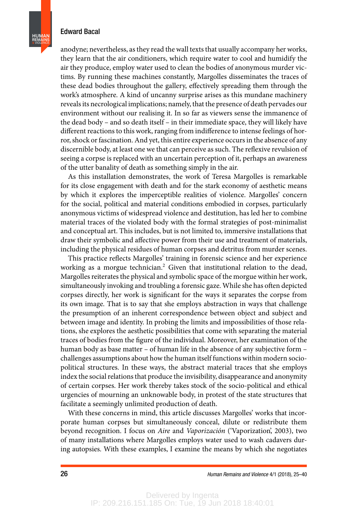**HUMAN REMAINS** & VIOLENCE

> anodyne; nevertheless, as they read the wall texts that usually accompany her works, they learn that the air conditioners, which require water to cool and humidify the air they produce, employ water used to clean the bodies of anonymous murder victims. By running these machines constantly, Margolles disseminates the traces of these dead bodies throughout the gallery, effectively spreading them through the work's atmosphere. A kind of uncanny surprise arises as this mundane machinery reveals its necrological implications; namely, that the presence of death pervades our environment without our realising it. In so far as viewers sense the immanence of the dead body – and so death itself – in their immediate space, they will likely have different reactions to this work, ranging from indifference to intense feelings of horror, shock or fascination. And yet, this entire experience occurs in the absence of any discernible body, at least one we that can perceive as such. The reflexive revulsion of seeing a corpse is replaced with an uncertain perception of it, perhaps an awareness of the utter banality of death as something simply in the air.

> As this installation demonstrates, the work of Teresa Margolles is remarkable for its close engagement with death and for the stark economy of aesthetic means by which it explores the imperceptible realities of violence. Margolles' concern for the social, political and material conditions embodied in corpses, particularly anonymous victims of widespread violence and destitution, has led her to combine material traces of the violated body with the formal strategies of post-minimalist and conceptual art. This includes, but is not limited to, immersive installations that draw their symbolic and affective power from their use and treatment of materials, including the physical residues of human corpses and detritus from murder scenes.

> This practice reflects Margolles' training in forensic science and her experience working as a morgue technician.<sup>2</sup> Given that institutional relation to the dead, Margolles reiterates the physical and symbolic space of the morgue within her work, simultaneously invoking and troubling a forensic gaze. While she has often depicted corpses directly, her work is significant for the ways it separates the corpse from its own image. That is to say that she employs abstraction in ways that challenge the presumption of an inherent correspondence between object and subject and between image and identity. In probing the limits and impossibilities of those relations, she explores the aesthetic possibilities that come with separating the material traces of bodies from the figure of the individual. Moreover, her examination of the human body as base matter – of human life in the absence of any subjective form – challenges assumptions about how the human itself functions within modern sociopolitical structures. In these ways, the abstract material traces that she employs index the social relations that produce the invisibility, disappearance and anonymity of certain corpses. Her work thereby takes stock of the socio-political and ethical urgencies of mourning an unknowable body, in protest of the state structures that facilitate a seemingly unlimited production of death.

> With these concerns in mind, this article discusses Margolles' works that incorporate human corpses but simultaneously conceal, dilute or redistribute them beyond recognition. I focus on Aire and Vaporización ('Vaporization', 2003), two of many installations where Margolles employs water used to wash cadavers during autopsies. With these examples, I examine the means by which she negotiates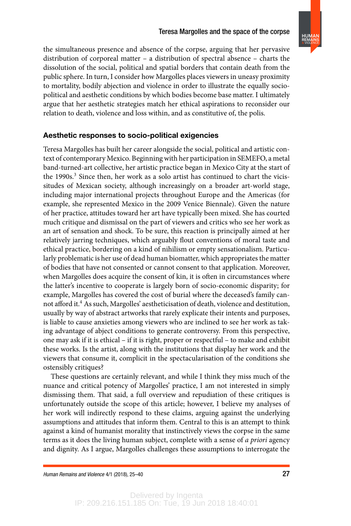

the simultaneous presence and absence of the corpse, arguing that her pervasive distribution of corporeal matter – a distribution of spectral absence – charts the dissolution of the social, political and spatial borders that contain death from the public sphere. In turn, I consider how Margolles places viewers in uneasy proximity to mortality, bodily abjection and violence in order to illustrate the equally sociopolitical and aesthetic conditions by which bodies become base matter. I ultimately argue that her aesthetic strategies match her ethical aspirations to reconsider our relation to death, violence and loss within, and as constitutive of, the polis.

## Aesthetic responses to socio-political exigencies

Teresa Margolles has built her career alongside the social, political and artistic context of contemporary Mexico. Beginning with her participation in SEMEFO, a metal band-turned-art collective, her artistic practice began in Mexico City at the start of the 1990s.<sup>3</sup> Since then, her work as a solo artist has continued to chart the vicissitudes of Mexican society, although increasingly on a broader art-world stage, including major international projects throughout Europe and the Americas (for example, she represented Mexico in the 2009 Venice Biennale). Given the nature of her practice, attitudes toward her art have typically been mixed. She has courted much critique and dismissal on the part of viewers and critics who see her work as an art of sensation and shock. To be sure, this reaction is principally aimed at her relatively jarring techniques, which arguably flout conventions of moral taste and ethical practice, bordering on a kind of nihilism or empty sensationalism. Particularly problematic is her use of dead human biomatter, which appropriates the matter of bodies that have not consented or cannot consent to that application. Moreover, when Margolles does acquire the consent of kin, it is often in circumstances where the latter's incentive to cooperate is largely born of socio-economic disparity; for example, Margolles has covered the cost of burial where the deceased's family cannot afford it.<sup>4</sup> As such, Margolles' aestheticisation of death, violence and destitution, usually by way of abstract artworks that rarely explicate their intents and purposes, is liable to cause anxieties among viewers who are inclined to see her work as taking advantage of abject conditions to generate controversy. From this perspective, one may ask if it is ethical – if it is right, proper or respectful – to make and exhibit these works. Is the artist, along with the institutions that display her work and the viewers that consume it, complicit in the spectacularisation of the conditions she ostensibly critiques?

These questions are certainly relevant, and while I think they miss much of the nuance and critical potency of Margolles' practice, I am not interested in simply dismissing them. That said, a full overview and repudiation of these critiques is unfortunately outside the scope of this article; however, I believe my analyses of her work will indirectly respond to these claims, arguing against the underlying assumptions and attitudes that inform them. Central to this is an attempt to think against a kind of humanist morality that instinctively views the corpse in the same terms as it does the living human subject, complete with a sense of a priori agency and dignity. As I argue, Margolles challenges these assumptions to interrogate the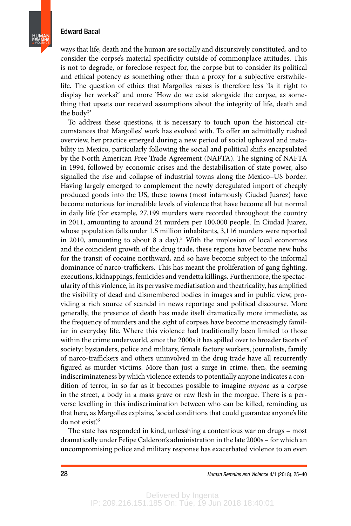ways that life, death and the human are socially and discursively constituted, and to consider the corpse's material specificity outside of commonplace attitudes. This is not to degrade, or foreclose respect for, the corpse but to consider its political and ethical potency as something other than a proxy for a subjective erstwhilelife. The question of ethics that Margolles raises is therefore less 'Is it right to display her works?' and more 'How do we exist alongside the corpse, as something that upsets our received assumptions about the integrity of life, death and the body?'

To address these questions, it is necessary to touch upon the historical circumstances that Margolles' work has evolved with. To offer an admittedly rushed overview, her practice emerged during a new period of social upheaval and instability in Mexico, particularly following the social and political shifts encapsulated by the North American Free Trade Agreement (NAFTA). The signing of NAFTA in 1994, followed by economic crises and the destabilisation of state power, also signalled the rise and collapse of industrial towns along the Mexico–US border. Having largely emerged to complement the newly deregulated import of cheaply produced goods into the US, these towns (most infamously Ciudad Juarez) have become notorious for incredible levels of violence that have become all but normal in daily life (for example, 27,199 murders were recorded throughout the country in 2011, amounting to around 24 murders per 100,000 people. In Ciudad Juarez, whose population falls under 1.5 million inhabitants, 3,116 murders were reported in 2010, amounting to about 8 a day).<sup>5</sup> With the implosion of local economies and the coincident growth of the drug trade, these regions have become new hubs for the transit of cocaine northward, and so have become subject to the informal dominance of narco-traffickers. This has meant the proliferation of gang fighting, executions, kidnappings, femicides and vendetta killings. Furthermore, the spectacularity of this violence, in its pervasive mediatisation and theatricality, has amplified the visibility of dead and dismembered bodies in images and in public view, providing a rich source of scandal in news reportage and political discourse. More generally, the presence of death has made itself dramatically more immediate, as the frequency of murders and the sight of corpses have become increasingly familiar in everyday life. Where this violence had traditionally been limited to those within the crime underworld, since the 2000s it has spilled over to broader facets of society: bystanders, police and military, female factory workers, journalists, family of narco-traffickers and others uninvolved in the drug trade have all recurrently figured as murder victims. More than just a surge in crime, then, the seeming indiscriminateness by which violence extends to potentially anyone indicates a condition of terror, in so far as it becomes possible to imagine anyone as a corpse in the street, a body in a mass grave or raw flesh in the morgue. There is a perverse levelling in this indiscrimination between who can be killed, reminding us that here, as Margolles explains, 'social conditions that could guarantee anyone's life do not exist'.<sup>6</sup>

The state has responded in kind, unleashing a contentious war on drugs – most dramatically under Felipe Calderon's administration in the late 2000s – for which an uncompromising police and military response has exacerbated violence to an even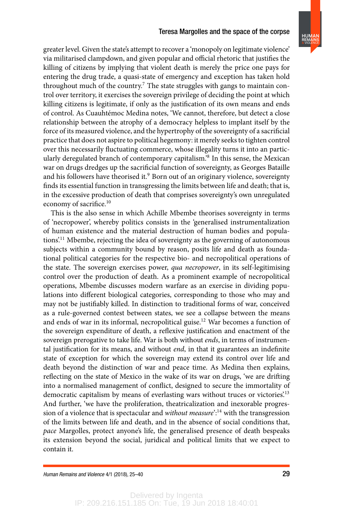**HUMAN REMAINS** & VIOLENCE

greater level. Given the state's attempt to recover a 'monopoly on legitimate violence' via militarised clampdown, and given popular and official rhetoric that justifies the killing of citizens by implying that violent death is merely the price one pays for entering the drug trade, a quasi-state of emergency and exception has taken hold throughout much of the country.<sup>7</sup> The state struggles with gangs to maintain control over territory, it exercises the sovereign privilege of deciding the point at which killing citizens is legitimate, if only as the justification of its own means and ends of control. As Cuauhtémoc Medina notes, 'We cannot, therefore, but detect a close relationship between the atrophy of a democracy helpless to implant itself by the force of its measured violence, and the hypertrophy of the sovereignty of a sacrificial practice that does not aspire to political hegemony: it merely seeks to tighten control over this necessarily fluctuating commerce, whose illegality turns it into an particularly deregulated branch of contemporary capitalism.'<sup>8</sup> In this sense, the Mexican war on drugs dredges up the sacrificial function of sovereignty, as Georges Bataille and his followers have theorised it.<sup>9</sup> Born out of an originary violence, sovereignty finds its essential function in transgressing the limits between life and death; that is, in the excessive production of death that comprises sovereignty's own unregulated economy of sacrifice.<sup>10</sup>

This is the also sense in which Achille Mbembe theorises sovereignty in terms of 'necropower', whereby politics consists in the 'generalised instrumentalization of human existence and the material destruction of human bodies and populations'.<sup>11</sup> Mbembe, rejecting the idea of sovereignty as the governing of autonomous subjects within a community bound by reason, posits life and death as foundational political categories for the respective bio- and necropolitical operations of the state. The sovereign exercises power, qua necropower, in its self-legitimising control over the production of death. As a prominent example of necropolitical operations, Mbembe discusses modern warfare as an exercise in dividing populations into different biological categories, corresponding to those who may and may not be justifiably killed. In distinction to traditional forms of war, conceived as a rule-governed contest between states, we see a collapse between the means and ends of war in its informal, necropolitical guise.<sup>12</sup> War becomes a function of the sovereign expenditure of death, a reflexive justification and enactment of the sovereign prerogative to take life. War is both without ends, in terms of instrumental justification for its means, and without *end*, in that it guarantees an indefinite state of exception for which the sovereign may extend its control over life and death beyond the distinction of war and peace time. As Medina then explains, reflecting on the state of Mexico in the wake of its war on drugs, 'we are drifting into a normalised management of conflict, designed to secure the immortality of democratic capitalism by means of everlasting wars without truces or victories.<sup>13</sup> And further, 'we have the proliferation, theatricalization and inexorable progression of a violence that is spectacular and without measure<sup> $2.14$ </sup> with the transgression of the limits between life and death, and in the absence of social conditions that, pace Margolles, protect anyone's life, the generalised presence of death bespeaks its extension beyond the social, juridical and political limits that we expect to contain it.

Delivered by Ingenta IP: 209.216.151.185 On: Tue, 19 Jun 2018 18:40:01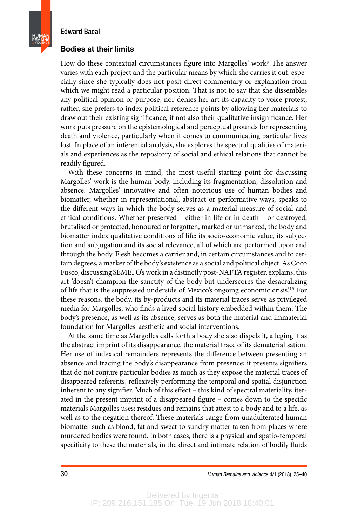**HUMAN REMAINS** & VIOLENCE

#### Bodies at their limits

How do these contextual circumstances figure into Margolles' work? The answer varies with each project and the particular means by which she carries it out, especially since she typically does not posit direct commentary or explanation from which we might read a particular position. That is not to say that she dissembles any political opinion or purpose, nor denies her art its capacity to voice protest; rather, she prefers to index political reference points by allowing her materials to draw out their existing significance, if not also their qualitative insignificance. Her work puts pressure on the epistemological and perceptual grounds for representing death and violence, particularly when it comes to communicating particular lives lost. In place of an inferential analysis, she explores the spectral qualities of materials and experiences as the repository of social and ethical relations that cannot be readily figured.

With these concerns in mind, the most useful starting point for discussing Margolles' work is the human body, including its fragmentation, dissolution and absence. Margolles' innovative and often notorious use of human bodies and biomatter, whether in representational, abstract or performative ways, speaks to the different ways in which the body serves as a material measure of social and ethical conditions. Whether preserved – either in life or in death – or destroyed, brutalised or protected, honoured or forgotten, marked or unmarked, the body and biomatter index qualitative conditions of life: its socio-economic value, its subjection and subjugation and its social relevance, all of which are performed upon and through the body. Flesh becomes a carrier and, in certain circumstances and to certain degrees, a marker of the body's existence as a social and political object. As Coco Fusco, discussing SEMEFO's work in a distinctly post-NAFTA register, explains, this art 'doesn't champion the sanctity of the body but underscores the desacralizing of life that is the suppressed underside of Mexico's ongoing economic crisis'.<sup>15</sup> For these reasons, the body, its by-products and its material traces serve as privileged media for Margolles, who finds a lived social history embedded within them. The body's presence, as well as its absence, serves as both the material and immaterial foundation for Margolles' aesthetic and social interventions.

At the same time as Margolles calls forth a body she also dispels it, alleging it as the abstract imprint of its disappearance, the material trace of its dematerialisation. Her use of indexical remainders represents the difference between presenting an absence and tracing the body's disappearance from presence; it presents signifiers that do not conjure particular bodies as much as they expose the material traces of disappeared referents, reflexively performing the temporal and spatial disjunction inherent to any signifier. Much of this effect – this kind of spectral materiality, iterated in the present imprint of a disappeared figure - comes down to the specific materials Margolles uses: residues and remains that attest to a body and to a life, as well as to the negation thereof. These materials range from unadulterated human biomatter such as blood, fat and sweat to sundry matter taken from places where murdered bodies were found. In both cases, there is a physical and spatio-temporal specificity to these the materials, in the direct and intimate relation of bodily fluids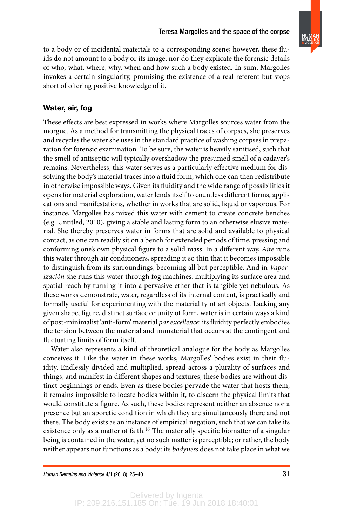

to a body or of incidental materials to a corresponding scene; however, these fluids do not amount to a body or its image, nor do they explicate the forensic details of who, what, where, why, when and how such a body existed. In sum, Margolles invokes a certain singularity, promising the existence of a real referent but stops short of offering positive knowledge of it.

# Water, air, fog

These effects are best expressed in works where Margolles sources water from the morgue. As a method for transmitting the physical traces of corpses, she preserves and recycles the water she uses in the standard practice of washing corpses in preparation for forensic examination. To be sure, the water is heavily sanitised, such that the smell of antiseptic will typically overshadow the presumed smell of a cadaver's remains. Nevertheless, this water serves as a particularly effective medium for dissolving the body's material traces into a fluid form, which one can then redistribute in otherwise impossible ways. Given its fluidity and the wide range of possibilities it opens for material exploration, water lends itself to countless different forms, applications and manifestations, whether in works that are solid, liquid or vaporous. For instance, Margolles has mixed this water with cement to create concrete benches (e.g. Untitled, 2010), giving a stable and lasting form to an otherwise elusive material. She thereby preserves water in forms that are solid and available to physical contact, as one can readily sit on a bench for extended periods of time, pressing and conforming one's own physical figure to a solid mass. In a different way, Aire runs this water through air conditioners, spreading it so thin that it becomes impossible to distinguish from its surroundings, becoming all but perceptible. And in Vaporización she runs this water through fog machines, multiplying its surface area and spatial reach by turning it into a pervasive ether that is tangible yet nebulous. As these works demonstrate, water, regardless of its internal content, is practically and formally useful for experimenting with the materiality of art objects. Lacking any given shape, figure, distinct surface or unity of form, water is in certain ways a kind of post-minimalist 'anti-form' material par excellence: its fluidity perfectly embodies the tension between the material and immaterial that occurs at the contingent and fluctuating limits of form itself.

Water also represents a kind of theoretical analogue for the body as Margolles conceives it. Like the water in these works, Margolles' bodies exist in their fluidity. Endlessly divided and multiplied, spread across a plurality of surfaces and things, and manifest in different shapes and textures, these bodies are without distinct beginnings or ends. Even as these bodies pervade the water that hosts them, it remains impossible to locate bodies within it, to discern the physical limits that would constitute a figure. As such, these bodies represent neither an absence nor a presence but an aporetic condition in which they are simultaneously there and not there. The body exists as an instance of empirical negation, such that we can take its existence only as a matter of faith.<sup>16</sup> The materially specific biomatter of a singular being is contained in the water, yet no such matter is perceptible; or rather, the body neither appears nor functions as a body: its bodyness does not take place in what we

Human Remains and Violence  $4/1$  (2018), 25–40  $31$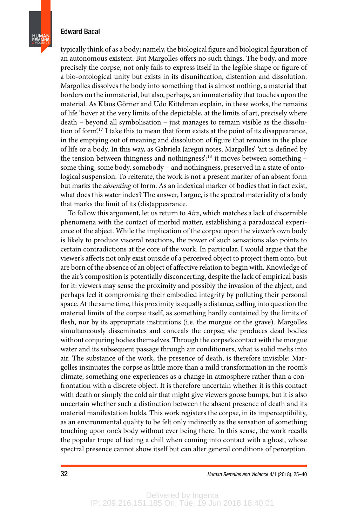**HUMAN REMAINS** & VIOLENCE

> typically think of as a body; namely, the biological figure and biological figuration of an autonomous existent. But Margolles offers no such things. The body, and more precisely the corpse, not only fails to express itself in the legible shape or figure of a bio-ontological unity but exists in its disunification, distention and dissolution. Margolles dissolves the body into something that is almost nothing, a material that borders on the immaterial, but also, perhaps, an immateriality that touches upon the material. As Klaus Görner and Udo Kittelman explain, in these works, the remains of life 'hover at the very limits of the depictable, at the limits of art, precisely where death – beyond all symbolisation – just manages to remain visible as the dissolution of form<sup>'17</sup> I take this to mean that form exists at the point of its disappearance, in the emptying out of meaning and dissolution of figure that remains in the place of life or a body. In this way, as Gabriela Jaregui notes, Margolles' 'art is defined by the tension between thingness and nothingness':<sup>18</sup> it moves between something some thing, some body, somebody – and nothingness, preserved in a state of ontological suspension. To reiterate, the work is not a present marker of an absent form but marks the *absenting* of form. As an indexical marker of bodies that in fact exist, what does this water index? The answer, I argue, is the spectral materiality of a body that marks the limit of its (dis)appearance.

> To follow this argument, let us return to Aire, which matches a lack of discernible phenomena with the contact of morbid matter, establishing a paradoxical experience of the abject. While the implication of the corpse upon the viewer's own body is likely to produce visceral reactions, the power of such sensations also points to certain contradictions at the core of the work. In particular, I would argue that the viewer's affects not only exist outside of a perceived object to project them onto, but are born of the absence of an object of affective relation to begin with. Knowledge of the air's composition is potentially disconcerting, despite the lack of empirical basis for it: viewers may sense the proximity and possibly the invasion of the abject, and perhaps feel it compromising their embodied integrity by polluting their personal space. At the same time, this proximity is equally a distance, calling into question the material limits of the corpse itself, as something hardly contained by the limits of flesh, nor by its appropriate institutions (i.e. the morgue or the grave). Margolles simultaneously disseminates and conceals the corpse; she produces dead bodies without conjuring bodies themselves. Through the corpse's contact with the morgue water and its subsequent passage through air conditioners, what is solid melts into air. The substance of the work, the presence of death, is therefore invisible: Margolles insinuates the corpse as little more than a mild transformation in the room's climate, something one experiences as a change in atmosphere rather than a confrontation with a discrete object. It is therefore uncertain whether it is this contact with death or simply the cold air that might give viewers goose bumps, but it is also uncertain whether such a distinction between the absent presence of death and its material manifestation holds. This work registers the corpse, in its imperceptibility, as an environmental quality to be felt only indirectly as the sensation of something touching upon one's body without ever being there. In this sense, the work recalls the popular trope of feeling a chill when coming into contact with a ghost, whose spectral presence cannot show itself but can alter general conditions of perception.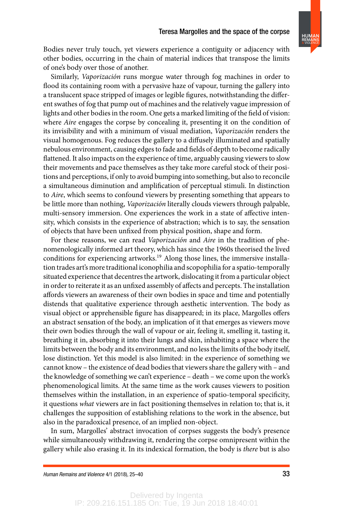

Bodies never truly touch, yet viewers experience a contiguity or adjacency with other bodies, occurring in the chain of material indices that transpose the limits of one's body over those of another.

Similarly, Vaporización runs morgue water through fog machines in order to flood its containing room with a pervasive haze of vapour, turning the gallery into a translucent space stripped of images or legible figures, notwithstanding the different swathes of fog that pump out of machines and the relatively vague impression of lights and other bodies in the room. One gets a marked limiting of the field of vision: where Aire engages the corpse by concealing it, presenting it on the condition of its invisibility and with a minimum of visual mediation, Vaporización renders the visual homogenous. Fog reduces the gallery to a diffusely illuminated and spatially nebulous environment, causing edges to fade and fields of depth to become radically flattened. It also impacts on the experience of time, arguably causing viewers to slow their movements and pace themselves as they take more careful stock of their positions and perceptions, if only to avoid bumping into something, but also to reconcile a simultaneous diminution and amplification of perceptual stimuli. In distinction to Aire, which seems to confound viewers by presenting something that appears to be little more than nothing, Vaporización literally clouds viewers through palpable, multi-sensory immersion. One experiences the work in a state of affective intensity, which consists in the experience of abstraction; which is to say, the sensation of objects that have been unfixed from physical position, shape and form.

For these reasons, we can read Vaporización and Aire in the tradition of phenomenologically informed art theory, which has since the 1960s theorised the lived conditions for experiencing artworks.<sup>19</sup> Along those lines, the immersive installation trades art's more traditional iconophilia and scopophilia for a spatio-temporally situated experience that decentres the artwork, dislocating it from a particular object in order to reiterate it as an unfixed assembly of affects and percepts. The installation affords viewers an awareness of their own bodies in space and time and potentially distends that qualitative experience through aesthetic intervention. The body as visual object or apprehensible figure has disappeared; in its place, Margolles offers an abstract sensation of the body, an implication of it that emerges as viewers move their own bodies through the wall of vapour or air, feeling it, smelling it, tasting it, breathing it in, absorbing it into their lungs and skin, inhabiting a space where the limits between the body and its environment, and no less the limits of the body itself, lose distinction. Yet this model is also limited: in the experience of something we cannot know – the existence of dead bodies that viewers share the gallery with – and the knowledge of something we can't experience – death – we come upon the work's phenomenological limits. At the same time as the work causes viewers to position themselves within the installation, in an experience of spatio-temporal specificity, it questions what viewers are in fact positioning themselves in relation to; that is, it challenges the supposition of establishing relations to the work in the absence, but also in the paradoxical presence, of an implied non-object.

In sum, Margolles' abstract invocation of corpses suggests the body's presence while simultaneously withdrawing it, rendering the corpse omnipresent within the gallery while also erasing it. In its indexical formation, the body is there but is also

Human Remains and Violence  $4/1$  (2018), 25–40  $33$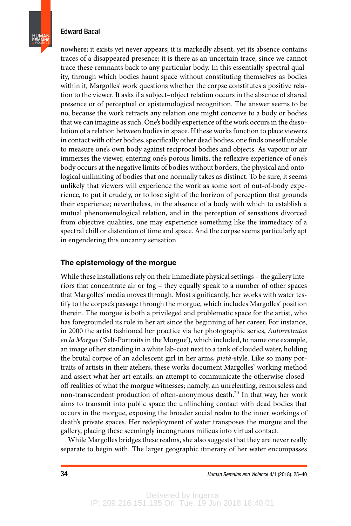**HUMAN REMAINS** & VIOLENCE

> nowhere; it exists yet never appears; it is markedly absent, yet its absence contains traces of a disappeared presence; it is there as an uncertain trace, since we cannot trace these remnants back to any particular body. In this essentially spectral quality, through which bodies haunt space without constituting themselves as bodies within it, Margolles' work questions whether the corpse constitutes a positive relation to the viewer. It asks if a subject–object relation occurs in the absence of shared presence or of perceptual or epistemological recognition. The answer seems to be no, because the work retracts any relation one might conceive to a body or bodies that we can imagine as such. One's bodily experience of the work occurs in the dissolution of a relation between bodies in space. If these works function to place viewers in contact with other bodies, specifically other dead bodies, one finds oneself unable to measure one's own body against reciprocal bodies and objects. As vapour or air immerses the viewer, entering one's porous limits, the reflexive experience of one's body occurs at the negative limits of bodies without borders, the physical and ontological unlimiting of bodies that one normally takes as distinct. To be sure, it seems unlikely that viewers will experience the work as some sort of out-of-body experience, to put it crudely, or to lose sight of the horizon of perception that grounds their experience; nevertheless, in the absence of a body with which to establish a mutual phenomenological relation, and in the perception of sensations divorced from objective qualities, one may experience something like the immediacy of a spectral chill or distention of time and space. And the corpse seems particularly apt in engendering this uncanny sensation.

#### The epistemology of the morgue

While these installations rely on their immediate physical settings – the gallery interiors that concentrate air or fog – they equally speak to a number of other spaces that Margolles' media moves through. Most significantly, her works with water testify to the corpse's passage through the morgue, which includes Margolles' position therein. The morgue is both a privileged and problematic space for the artist, who has foregrounded its role in her art since the beginning of her career. For instance, in 2000 the artist fashioned her practice via her photographic series, Autorretratos en la Morgue ('Self-Portraits in the Morgue'), which included, to name one example, an image of her standing in a white lab-coat next to a tank of clouded water, holding the brutal corpse of an adolescent girl in her arms, pietà-style. Like so many portraits of artists in their ateliers, these works document Margolles' working method and assert what her art entails: an attempt to communicate the otherwise closedoff realities of what the morgue witnesses; namely, an unrelenting, remorseless and non-transcendent production of often-anonymous death.<sup>20</sup> In that way, her work aims to transmit into public space the unflinching contact with dead bodies that occurs in the morgue, exposing the broader social realm to the inner workings of death's private spaces. Her redeployment of water transposes the morgue and the gallery, placing these seemingly incongruous milieus into virtual contact.

While Margolles bridges these realms, she also suggests that they are never really separate to begin with. The larger geographic itinerary of her water encompasses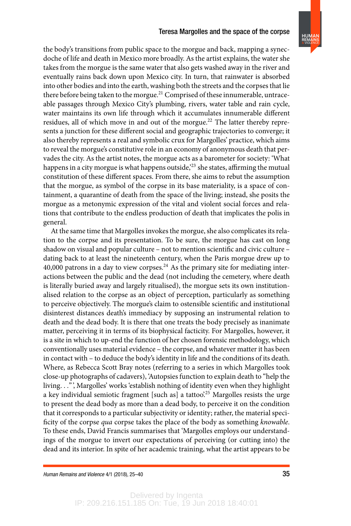**HUMAN REMAINS** & VIOLENCE

the body's transitions from public space to the morgue and back, mapping a synecdoche of life and death in Mexico more broadly. As the artist explains, the water she takes from the morgue is the same water that also gets washed away in the river and eventually rains back down upon Mexico city. In turn, that rainwater is absorbed into other bodies and into the earth, washing both the streets and the corpses that lie there before being taken to the morgue.<sup>21</sup> Comprised of these innumerable, untraceable passages through Mexico City's plumbing, rivers, water table and rain cycle, water maintains its own life through which it accumulates innumerable different residues, all of which move in and out of the morgue.<sup>22</sup> The latter thereby represents a junction for these different social and geographic trajectories to converge; it also thereby represents a real and symbolic crux for Margolles' practice, which aims to reveal the morgue's constitutive role in an economy of anonymous death that pervades the city. As the artist notes, the morgue acts as a barometer for society: 'What happens in a city morgue is what happens outside,<sup>223</sup> she states, affirming the mutual constitution of these different spaces. From there, she aims to rebut the assumption that the morgue, as symbol of the corpse in its base materiality, is a space of containment, a quarantine of death from the space of the living; instead, she posits the morgue as a metonymic expression of the vital and violent social forces and relations that contribute to the endless production of death that implicates the polis in general.

At the same time that Margolles invokes the morgue, she also complicates its relation to the corpse and its presentation. To be sure, the morgue has cast on long shadow on visual and popular culture – not to mention scientific and civic culture – dating back to at least the nineteenth century, when the Paris morgue drew up to 40,000 patrons in a day to view corpses.<sup>24</sup> As the primary site for mediating interactions between the public and the dead (not including the cemetery, where death is literally buried away and largely ritualised), the morgue sets its own institutionalised relation to the corpse as an object of perception, particularly as something to perceive objectively. The morgue's claim to ostensible scientific and institutional disinterest distances death's immediacy by supposing an instrumental relation to death and the dead body. It is there that one treats the body precisely as inanimate matter, perceiving it in terms of its biophysical facticity. For Margolles, however, it is a site in which to up-end the function of her chosen forensic methodology, which conventionally uses material evidence – the corpse, and whatever matter it has been in contact with – to deduce the body's identity in life and the conditions of its death. Where, as Rebecca Scott Bray notes (referring to a series in which Margolles took close-up photographs of cadavers), 'Autopsies function to explain death to "help the living. . ."', Margolles' works 'establish nothing of identity even when they highlight a key individual semiotic fragment [such as] a tattoo<sup>25</sup> Margolles resists the urge to present the dead body as more than a dead body, to perceive it on the condition that it corresponds to a particular subjectivity or identity; rather, the material speci ficity of the corpse qua corpse takes the place of the body as something knowable. To these ends, David Francis summarises that 'Margolles employs our understandings of the morgue to invert our expectations of perceiving (or cutting into) the dead and its interior. In spite of her academic training, what the artist appears to be

Delivered by Ingenta IP: 209.216.151.185 On: Tue, 19 Jun 2018 18:40:01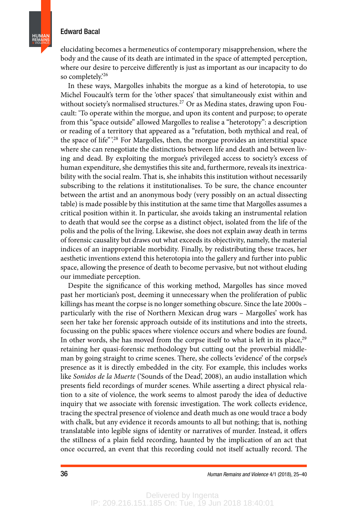elucidating becomes a hermeneutics of contemporary misapprehension, where the body and the cause of its death are intimated in the space of attempted perception, where our desire to perceive differently is just as important as our incapacity to do so completely.'<sup>26</sup>

In these ways, Margolles inhabits the morgue as a kind of heterotopia, to use Michel Foucault's term for the 'other spaces' that simultaneously exist within and without society's normalised structures.<sup>27</sup> Or as Medina states, drawing upon Foucault: 'To operate within the morgue, and upon its content and purpose; to operate from this "space outside" allowed Margolles to realise a "heterotopy": a description or reading of a territory that appeared as a "refutation, both mythical and real, of the space of life".<sup>28</sup> For Margolles, then, the morgue provides an interstitial space where she can renegotiate the distinctions between life and death and between living and dead. By exploiting the morgue's privileged access to society's excess of human expenditure, she demystifies this site and, furthermore, reveals its inextricability with the social realm. That is, she inhabits this institution without necessarily subscribing to the relations it institutionalises. To be sure, the chance encounter between the artist and an anonymous body (very possibly on an actual dissecting table) is made possible by this institution at the same time that Margolles assumes a critical position within it. In particular, she avoids taking an instrumental relation to death that would see the corpse as a distinct object, isolated from the life of the polis and the polis of the living. Likewise, she does not explain away death in terms of forensic causality but draws out what exceeds its objectivity, namely, the material indices of an inappropriable morbidity. Finally, by redistributing these traces, her aesthetic inventions extend this heterotopia into the gallery and further into public space, allowing the presence of death to become pervasive, but not without eluding our immediate perception.

Despite the significance of this working method, Margolles has since moved past her mortician's post, deeming it unnecessary when the proliferation of public killings has meant the corpse is no longer something obscure. Since the late 2000s – particularly with the rise of Northern Mexican drug wars – Margolles' work has seen her take her forensic approach outside of its institutions and into the streets, focussing on the public spaces where violence occurs and where bodies are found. In other words, she has moved from the corpse itself to what is left in its place,<sup>29</sup> retaining her quasi-forensic methodology but cutting out the proverbial middleman by going straight to crime scenes. There, she collects 'evidence' of the corpse's presence as it is directly embedded in the city. For example, this includes works like Sonidos de la Muerte ('Sounds of the Dead', 2008), an audio installation which presents field recordings of murder scenes. While asserting a direct physical relation to a site of violence, the work seems to almost parody the idea of deductive inquiry that we associate with forensic investigation. The work collects evidence, tracing the spectral presence of violence and death much as one would trace a body with chalk, but any evidence it records amounts to all but nothing; that is, nothing translatable into legible signs of identity or narratives of murder. Instead, it offers the stillness of a plain field recording, haunted by the implication of an act that once occurred, an event that this recording could not itself actually record. The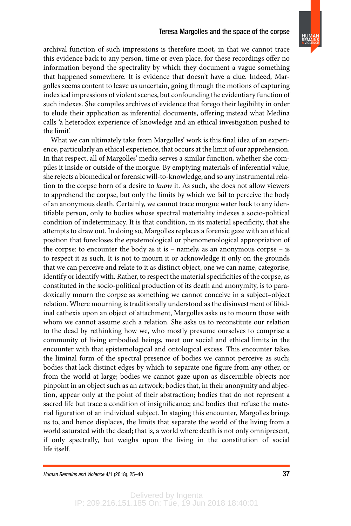#### Teresa Margolles and the space of the corpse



archival function of such impressions is therefore moot, in that we cannot trace this evidence back to any person, time or even place, for these recordings offer no information beyond the spectrality by which they document a vague something that happened somewhere. It is evidence that doesn't have a clue. Indeed, Margolles seems content to leave us uncertain, going through the motions of capturing indexical impressions of violent scenes, but confounding the evidentiary function of such indexes. She compiles archives of evidence that forego their legibility in order to elude their application as inferential documents, offering instead what Medina calls 'a heterodox experience of knowledge and an ethical investigation pushed to the limit'.

What we can ultimately take from Margolles' work is this final idea of an experience, particularly an ethical experience, that occurs at the limit of our apprehension. In that respect, all of Margolles' media serves a similar function, whether she compiles it inside or outside of the morgue. By emptying materials of inferential value, she rejects a biomedical or forensic will-to-knowledge, and so any instrumental relation to the corpse born of a desire to know it. As such, she does not allow viewers to apprehend the corpse, but only the limits by which we fail to perceive the body of an anonymous death. Certainly, we cannot trace morgue water back to any identifiable person, only to bodies whose spectral materiality indexes a socio-political condition of indeterminacy. It is that condition, in its material specificity, that she attempts to draw out. In doing so, Margolles replaces a forensic gaze with an ethical position that forecloses the epistemological or phenomenological appropriation of the corpse: to encounter the body as it is – namely, as an anonymous corpse – is to respect it as such. It is not to mourn it or acknowledge it only on the grounds that we can perceive and relate to it as distinct object, one we can name, categorise, identify or identify with. Rather, to respect the material specificities of the corpse, as constituted in the socio-political production of its death and anonymity, is to paradoxically mourn the corpse as something we cannot conceive in a subject–object relation. Where mourning is traditionally understood as the disinvestment of libidinal cathexis upon an object of attachment, Margolles asks us to mourn those with whom we cannot assume such a relation. She asks us to reconstitute our relation to the dead by rethinking how we, who mostly presume ourselves to comprise a community of living embodied beings, meet our social and ethical limits in the encounter with that epistemological and ontological excess. This encounter takes the liminal form of the spectral presence of bodies we cannot perceive as such; bodies that lack distinct edges by which to separate one figure from any other, or from the world at large; bodies we cannot gaze upon as discernible objects nor pinpoint in an object such as an artwork; bodies that, in their anonymity and abjection, appear only at the point of their abstraction; bodies that do not represent a sacred life but trace a condition of insignificance; and bodies that refuse the material figuration of an individual subject. In staging this encounter, Margolles brings us to, and hence displaces, the limits that separate the world of the living from a world saturated with the dead; that is, a world where death is not only omnipresent, if only spectrally, but weighs upon the living in the constitution of social life itself.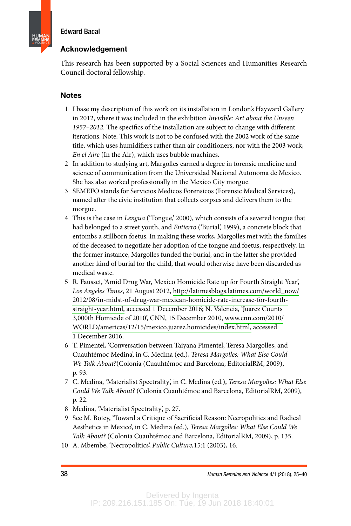**HUMAN REMAINS** & VIOLENCE

# Acknowledgement

This research has been supported by a Social Sciences and Humanities Research Council doctoral fellowship.

# Notes

- 1 I base my description of this work on its installation in London's Hayward Gallery in 2012, where it was included in the exhibition Invisible: Art about the Unseen 1957-2012. The specifics of the installation are subject to change with different iterations. Note: This work is not to be confused with the 2002 work of the same title, which uses humidifiers rather than air conditioners, nor with the 2003 work, En el Aire (In the Air), which uses bubble machines.
- 2 In addition to studying art, Margolles earned a degree in forensic medicine and science of communication from the Universidad Nacional Autonoma de Mexico. She has also worked professionally in the Mexico City morgue.
- 3 SEMEFO stands for Servicios Medicos Forensicos (Forensic Medical Services), named after the civic institution that collects corpses and delivers them to the morgue.
- 4 This is the case in Lengua ('Tongue,' 2000), which consists of a severed tongue that had belonged to a street youth, and *Entierro* ('Burial,' 1999), a concrete block that entombs a stillborn foetus. In making these works, Margolles met with the families of the deceased to negotiate her adoption of the tongue and foetus, respectively. In the former instance, Margolles funded the burial, and in the latter she provided another kind of burial for the child, that would otherwise have been discarded as medical waste.
- 5 R. Fausset, 'Amid Drug War, Mexico Homicide Rate up for Fourth Straight Year', Los Angeles Times, 21 August 2012, [http://latimesblogs.latimes.com/world\\_now/](http://latimesblogs.latimes.com/world_now/2012/08/in-midst-of-drug-war-mexican-homicide-rate-increase-for-fourth-straight-year.html) [2012/08/in-midst-of-drug-war-mexican-homicide-rate-increase-for-fourth](http://latimesblogs.latimes.com/world_now/2012/08/in-midst-of-drug-war-mexican-homicide-rate-increase-for-fourth-straight-year.html)[straight-year.html,](http://latimesblogs.latimes.com/world_now/2012/08/in-midst-of-drug-war-mexican-homicide-rate-increase-for-fourth-straight-year.html) accessed 1 December 2016; N. Valencia, 'Juarez Counts 3,000th Homicide of 2010', CNN, 15 December 2010, [www.cnn.com/2010/](http://www.cnn.com/2010/WORLD/americas/12/15/mexico.juarez.homicides/index.html) [WORLD/americas/12/15/mexico.juarez.homicides/index.html,](http://www.cnn.com/2010/WORLD/americas/12/15/mexico.juarez.homicides/index.html) accessed 1 December 2016.
- 6 T. Pimentel, 'Conversation between Taiyana Pimentel, Teresa Margolles, and Cuauhtémoc Medina', in C. Medina (ed.), Teresa Margolles: What Else Could We Talk About?(Colonia (Cuauhtémoc and Barcelona, EditorialRM, 2009), p. 93.
- 7 C. Medina, 'Materialist Spectrality', in C. Medina (ed.), Teresa Margolles: What Else Could We Talk About? (Colonia Cuauhtémoc and Barcelona, EditorialRM, 2009), p. 22.
- 8 Medina, 'Materialist Spectrality', p. 27.
- 9 See M. Botey, 'Toward a Critique of Sacrificial Reason: Necropolitics and Radical Aesthetics in Mexico', in C. Medina (ed.), Teresa Margolles: What Else Could We Talk About? (Colonia Cuauhtémoc and Barcelona, EditorialRM, 2009), p. 135.
- 10 A. Mbembe, 'Necropolitics', Public Culture,15:1 (2003), 16.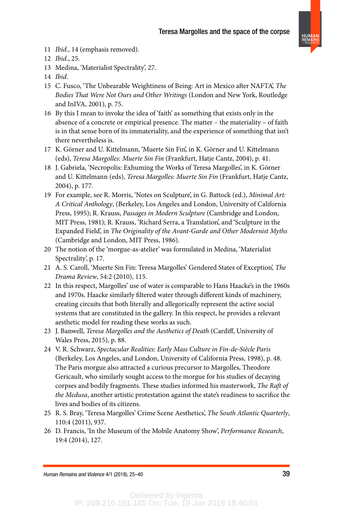**HUMAN REMAINS** & VIOLENCE

11 Ibid., 14 (emphasis removed).

13 Medina, 'Materialist Spectrality', 27.

- 15 C. Fusco, 'The Unbearable Weightiness of Being: Art in Mexico after NAFTA', The Bodies That Were Not Ours and Other Writings (London and New York, Routledge and InIVA, 2001), p. 75.
- 16 By this I mean to invoke the idea of 'faith' as something that exists only in the absence of a concrete or empirical presence. The matter – the materiality – of faith is in that sense born of its immateriality, and the experience of something that isn't there nevertheless is.
- 17 K. Görner and U. Kittelmann, 'Muerte Sin Fin', in K. Görner and U. Kittelmann (eds), Teresa Margolles: Muerte Sin Fin (Frankfurt, Hatje Cantz, 2004), p. 41.
- 18 J. Gabriela, 'Necropolis: Exhuming the Works of Teresa Margolles', in K. Görner and U. Kittelmann (eds), Teresa Margolles: Muerte Sin Fin (Frankfurt, Hatje Cantz, 2004), p. 177.
- 19 For example, see R. Morris, 'Notes on Sculpture', in G. Battock (ed.), Minimal Art: A Critical Anthology, (Berkeley, Los Angeles and London, University of California Press, 1995); R. Krauss, Passages in Modern Sculpture (Cambridge and London, MIT Press, 1981); R. Krauss, 'Richard Serra, a Translation', and 'Sculpture in the Expanded Field', in The Originality of the Avant-Garde and Other Modernist Myths (Cambridge and London, MIT Press, 1986).
- 20 The notion of the 'morgue-as-atelier' was formulated in Medina, 'Materialist Spectrality', p. 17.
- 21 A. S. Caroll, 'Muerte Sin Fin: Teresa Margolles' Gendered States of Exception', The Drama Review, 54:2 (2010), 115.
- 22 In this respect, Margolles' use of water is comparable to Hans Haacke's in the 1960s and 1970s. Haacke similarly filtered water through different kinds of machinery, creating circuits that both literally and allegorically represent the active social systems that are constituted in the gallery. In this respect, he provides a relevant aesthetic model for reading these works as such.
- 23 J. Banwell, Teresa Margolles and the Aesthetics of Death (Cardiff, University of Wales Press, 2015), p. 88.
- 24 V. R. Schwarz, Spectacular Realities: Early Mass Culture in Fin-de-Siècle Paris (Berkeley, Los Angeles, and London, University of California Press, 1998), p. 48. The Paris morgue also attracted a curious precursor to Margolles, Theodore Gericault, who similarly sought access to the morgue for his studies of decaying corpses and bodily fragments. These studies informed his masterwork, The Raft of the Medusa, another artistic protestation against the state's readiness to sacrifice the lives and bodies of its citizens.
- 25 R. S. Bray, 'Teresa Margolles' Crime Scene Aesthetics', The South Atlantic Quarterly, 110:4 (2011), 937.
- 26 D. Francis, 'In the Museum of the Mobile Anatomy Show', Performance Research, 19:4 (2014), 127.

Human Remains and Violence 4/1 (2018), 25–40 39

<sup>12</sup> Ibid., 25.

<sup>14</sup> Ibid.